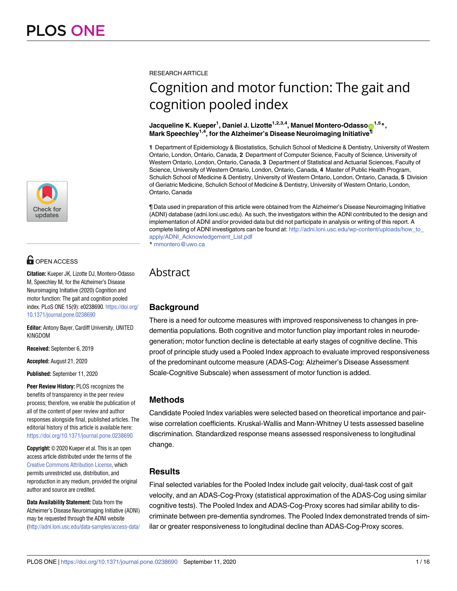

# **G** OPEN ACCESS

**Citation:** Kueper JK, Lizotte DJ, Montero-Odasso M, Speechley M, for the Alzheimer's Disease Neuroimaging Initiative (2020) Cognition and motor function: The gait and cognition pooled index. PLoS ONE 15(9): e0238690. [https://doi.org/](https://doi.org/10.1371/journal.pone.0238690) [10.1371/journal.pone.0238690](https://doi.org/10.1371/journal.pone.0238690)

**Editor:** Antony Bayer, Cardiff University, UNITED KINGDOM

**Received:** September 6, 2019

**Accepted:** August 21, 2020

**Published:** September 11, 2020

**Peer Review History:** PLOS recognizes the benefits of transparency in the peer review process; therefore, we enable the publication of all of the content of peer review and author responses alongside final, published articles. The editorial history of this article is available here: <https://doi.org/10.1371/journal.pone.0238690>

**Copyright:** © 2020 Kueper et al. This is an open access article distributed under the terms of the Creative Commons [Attribution](http://creativecommons.org/licenses/by/4.0/) License, which permits unrestricted use, distribution, and reproduction in any medium, provided the original author and source are credited.

**Data Availability Statement:** Data from the Alzheimer's Disease Neuroimaging Initiative (ADNI) may be requested through the ADNI website [\(http://adni.loni.usc.edu/data-samples/access-data/](http://adni.loni.usc.edu/data-samples/access-data/) RESEARCH ARTICLE

# Cognition and motor function: The gait and cognition pooled index

#### $\blacksquare$  Jacqueline K. Kueper<sup>1</sup>, Daniel J. Lizotte<sup>1,2,3,4</sup>, Manuel Montero-Odasso $\blacksquare^{1,5}$ \*, **Mark Speechley1,4, for the Alzheimer's Disease Neuroimaging Initiative¶**

**1** Department of Epidemiology & Biostatistics, Schulich School of Medicine & Dentistry, University of Western Ontario, London, Ontario, Canada, **2** Department of Computer Science, Faculty of Science, University of Western Ontario, London, Ontario, Canada, **3** Department of Statistical and Actuarial Sciences, Faculty of Science, University of Western Ontario, London, Ontario, Canada, **4** Master of Public Health Program, Schulich School of Medicine & Dentistry, University of Western Ontario, London, Ontario, Canada, **5** Division of Geriatric Medicine, Schulich School of Medicine & Dentistry, University of Western Ontario, London, Ontario, Canada

¶ Data used in preparation of this article were obtained from the Alzheimer's Disease Neuroimaging Initiative (ADNI) database (adni.loni.usc.edu). As such, the investigators within the ADNI contributed to the design and implementation of ADNI and/or provided data but did not participate in analysis or writing of this report. A complete listing of ADNI investigators can be found at: [http://adni.loni.usc.edu/wp-content/uploads/how\\_to\\_](http://adni.loni.usc.edu/wp-content/uploads/how_to_apply/ADNI_Acknowledgement_List.pdf) [apply/ADNI\\_Acknowledgement\\_List.pdf](http://adni.loni.usc.edu/wp-content/uploads/how_to_apply/ADNI_Acknowledgement_List.pdf) \* mmontero@uwo.ca

# Abstract

# **Background**

There is a need for outcome measures with improved responsiveness to changes in predementia populations. Both cognitive and motor function play important roles in neurodegeneration; motor function decline is detectable at early stages of cognitive decline. This proof of principle study used a Pooled Index approach to evaluate improved responsiveness of the predominant outcome measure (ADAS-Cog: Alzheimer's Disease Assessment Scale-Cognitive Subscale) when assessment of motor function is added.

# **Methods**

Candidate Pooled Index variables were selected based on theoretical importance and pairwise correlation coefficients. Kruskal-Wallis and Mann-Whitney U tests assessed baseline discrimination. Standardized response means assessed responsiveness to longitudinal change.

### **Results**

Final selected variables for the Pooled Index include gait velocity, dual-task cost of gait velocity, and an ADAS-Cog-Proxy (statistical approximation of the ADAS-Cog using similar cognitive tests). The Pooled Index and ADAS-Cog-Proxy scores had similar ability to discriminate between pre-dementia syndromes. The Pooled Index demonstrated trends of similar or greater responsiveness to longitudinal decline than ADAS-Cog-Proxy scores.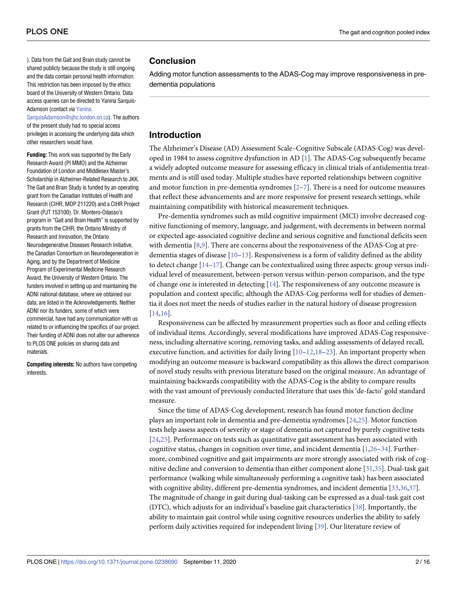<span id="page-1-0"></span>). Data from the Gait and Brain study cannot be shared publicly because the study is still ongoing and the data contain personal health information. This restriction has been imposed by the ethics board of the University of Western Ontario. Data access queries can be directed to Yanina Sarquis-Adamson (contact via [Yanina.](mailto:Yanina.SarquisAdamson@sjhc.london.on.ca)

[SarquisAdamson@sjhc.london.on.ca](mailto:Yanina.SarquisAdamson@sjhc.london.on.ca)). The authors of the present study had no special access privileges in accessing the underlying data which other researchers would have.

**Funding:** This work was supported by the Early Research Award (PI MMO) and the Alzheimer Foundation of London and Middlesex Master's Scholarship in Alzheimer-Related Research to JKK. The Gait and Brain Study is funded by an operating grant from the Canadian Institutes of Health and Research (CIHR, MOP 211220) and a CIHR Project Grant (PJT 153100). Dr. Montero-Odasso's program in "Gait and Brain Health" is supported by grants from the CIHR, the Ontario Ministry of Research and Innovation, the Ontario Neurodegenerative Diseases Research Initiative, the Canadian Consortium on Neurodegeneration in Aging, and by the Department of Medicine Program of Experimental Medicine Research Award, the University of Western Ontario. The funders involved in setting up and maintaining the ADNI national database, where we obtained our data, are listed in the Acknowledgements. Neither ADNI nor its funders, some of which were commercial, have had any communication with us related to or influencing the specifics of our project. Their funding of ADNI does not alter our adherence to PLOS ONE policies on sharing data and materials.

**Competing interests:** No authors have competing interests.

#### **Conclusion**

Adding motor function assessments to the ADAS-Cog may improve responsiveness in predementia populations

## **Introduction**

The Alzheimer's Disease (AD) Assessment Scale–Cognitive Subscale (ADAS-Cog) was developed in 1984 to assess cognitive dysfunction in AD [[1](#page-12-0)]. The ADAS-Cog subsequently became a widely adopted outcome measure for assessing efficacy in clinical trials of antidementia treatments and is still used today. Multiple studies have reported relationships between cognitive and motor function in pre-dementia syndromes  $[2-7]$  $[2-7]$  $[2-7]$ . There is a need for outcome measures that reflect these advancements and are more responsive for present research settings, while maintaining compatibility with historical measurement techniques.

Pre-dementia syndromes such as mild cognitive impairment (MCI) involve decreased cognitive functioning of memory, language, and judgement, with decrements in between normal or expected age-associated cognitive decline and serious cognitive and functional deficits seen with dementia [\[8,9\]](#page-13-0). There are concerns about the responsiveness of the ADAS-Cog at predementia stages of disease  $[10-13]$ . Responsiveness is a form of validity defined as the ability to detect change  $[14-17]$ . Change can be contextualized using three aspects: group versus individual level of measurement, between-person versus within-person comparison, and the type of change one is interested in detecting [\[14\]](#page-13-0). The responsiveness of any outcome measure is population and context specific; although the ADAS-Cog performs well for studies of dementia it does not meet the needs of studies earlier in the natural history of disease progression [\[14,16\]](#page-13-0).

Responsiveness can be affected by measurement properties such as floor and ceiling effects of individual items. Accordingly, several modifications have improved ADAS-Cog responsiveness, including alternative scoring, removing tasks, and adding assessments of delayed recall, executive function, and activities for daily living  $[10-12,18-23]$ . An important property when modifying an outcome measure is backward compatibility as this allows the direct comparison of novel study results with previous literature based on the original measure. An advantage of maintaining backwards compatibility with the ADAS-Cog is the ability to compare results with the vast amount of previously conducted literature that uses this 'de-facto' gold standard measure.

Since the time of ADAS-Cog development, research has found motor function decline plays an important role in dementia and pre-dementia syndromes [[24](#page-13-0),[25\]](#page-13-0). Motor function tests help assess aspects of severity or stage of dementia not captured by purely cognitive tests [\[24,25\]](#page-13-0). Performance on tests such as quantitative gait assessment has been associated with cognitive status, changes in cognition over time, and incident dementia [[1,](#page-12-0)[26](#page-13-0)–[34\]](#page-14-0). Furthermore, combined cognitive and gait impairments are more strongly associated with risk of cognitive decline and conversion to dementia than either component alone [\[31,35](#page-14-0)]. Dual-task gait performance (walking while simultaneously performing a cognitive task) has been associated with cognitive ability, different pre-dementia syndromes, and incident dementia [[33,36,37\]](#page-14-0). The magnitude of change in gait during dual-tasking can be expressed as a dual-task gait cost (DTC), which adjusts for an individual's baseline gait characteristics [[38](#page-14-0)]. Importantly, the ability to maintain gait control while using cognitive resources underlies the ability to safely perform daily activities required for independent living [[39](#page-14-0)]. Our literature review of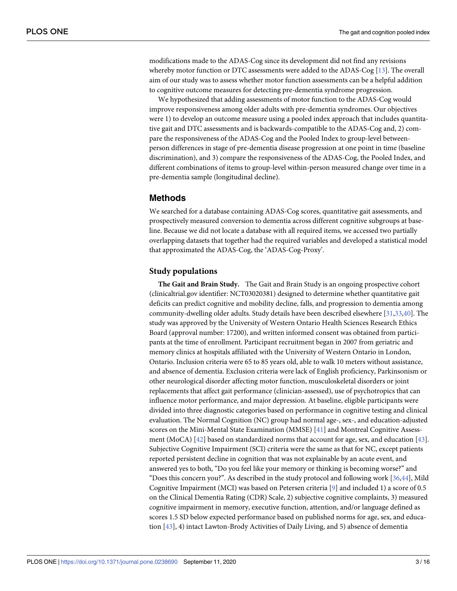<span id="page-2-0"></span>modifications made to the ADAS-Cog since its development did not find any revisions whereby motor function or DTC assessments were added to the ADAS-Cog [[13](#page-13-0)]. The overall aim of our study was to assess whether motor function assessments can be a helpful addition to cognitive outcome measures for detecting pre-dementia syndrome progression.

We hypothesized that adding assessments of motor function to the ADAS-Cog would improve responsiveness among older adults with pre-dementia syndromes. Our objectives were 1) to develop an outcome measure using a pooled index approach that includes quantitative gait and DTC assessments and is backwards-compatible to the ADAS-Cog and, 2) compare the responsiveness of the ADAS-Cog and the Pooled Index to group-level betweenperson differences in stage of pre-dementia disease progression at one point in time (baseline discrimination), and 3) compare the responsiveness of the ADAS-Cog, the Pooled Index, and different combinations of items to group-level within-person measured change over time in a pre-dementia sample (longitudinal decline).

#### **Methods**

We searched for a database containing ADAS-Cog scores, quantitative gait assessments, and prospectively measured conversion to dementia across different cognitive subgroups at baseline. Because we did not locate a database with all required items, we accessed two partially overlapping datasets that together had the required variables and developed a statistical model that approximated the ADAS-Cog, the 'ADAS-Cog-Proxy'.

#### **Study populations**

**The Gait and Brain Study.** The Gait and Brain Study is an ongoing prospective cohort (clinicaltrial.gov identifier: NCT03020381) designed to determine whether quantitative gait deficits can predict cognitive and mobility decline, falls, and progression to dementia among community-dwelling older adults. Study details have been described elsewhere [\[31,33,40](#page-14-0)]. The study was approved by the University of Western Ontario Health Sciences Research Ethics Board (approval number: 17200), and written informed consent was obtained from participants at the time of enrollment. Participant recruitment began in 2007 from geriatric and memory clinics at hospitals affiliated with the University of Western Ontario in London, Ontario. Inclusion criteria were 65 to 85 years old, able to walk 10 meters without assistance, and absence of dementia. Exclusion criteria were lack of English proficiency, Parkinsonism or other neurological disorder affecting motor function, musculoskeletal disorders or joint replacements that affect gait performance (clinician-assessed), use of psychotropics that can influence motor performance, and major depression. At baseline, eligible participants were divided into three diagnostic categories based on performance in cognitive testing and clinical evaluation. The Normal Cognition (NC) group had normal age-, sex-, and education-adjusted scores on the Mini-Mental State Examination (MMSE) [\[41\]](#page-14-0) and Montreal Cognitive Assessment (MoCA) [\[42](#page-14-0)] based on standardized norms that account for age, sex, and education [[43](#page-14-0)]. Subjective Cognitive Impairment (SCI) criteria were the same as that for NC, except patients reported persistent decline in cognition that was not explainable by an acute event, and answered yes to both, "Do you feel like your memory or thinking is becoming worse?" and "Does this concern you?". As described in the study protocol and following work [\[36,44](#page-14-0)], Mild Cognitive Impairment (MCI) was based on Petersen criteria [[9](#page-13-0)] and included 1) a score of 0.5 on the Clinical Dementia Rating (CDR) Scale, 2) subjective cognitive complaints, 3) measured cognitive impairment in memory, executive function, attention, and/or language defined as scores 1.5 SD below expected performance based on published norms for age, sex, and education [[43](#page-14-0)], 4) intact Lawton-Brody Activities of Daily Living, and 5) absence of dementia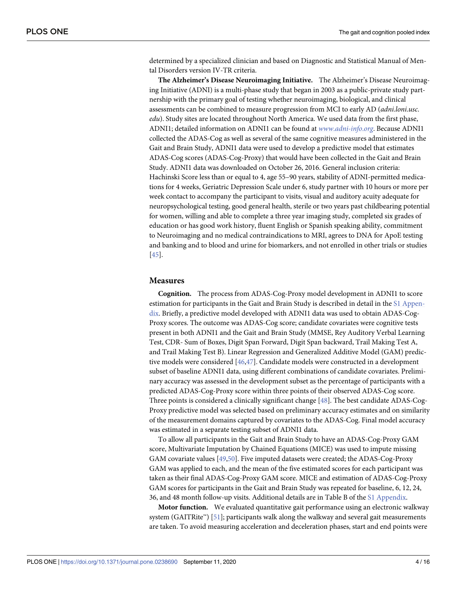<span id="page-3-0"></span>determined by a specialized clinician and based on Diagnostic and Statistical Manual of Mental Disorders version IV-TR criteria.

**The Alzheimer's Disease Neuroimaging Initiative.** The Alzheimer's Disease Neuroimaging Initiative (ADNI) is a multi-phase study that began in 2003 as a public-private study partnership with the primary goal of testing whether neuroimaging, biological, and clinical assessments can be combined to measure progression from MCI to early AD (*adni*.*loni*.*usc*. *edu*). Study sites are located throughout North America. We used data from the first phase, ADNI1; detailed information on ADNI1 can be found at *www*.*[adni-info](http://www.adni-info.org/)*.*org*. Because ADNI1 collected the ADAS-Cog as well as several of the same cognitive measures administered in the Gait and Brain Study, ADNI1 data were used to develop a predictive model that estimates ADAS-Cog scores (ADAS-Cog-Proxy) that would have been collected in the Gait and Brain Study. ADNI1 data was downloaded on October 26, 2016. General inclusion criteria: Hachinski Score less than or equal to 4, age 55–90 years, stability of ADNI-permitted medications for 4 weeks, Geriatric Depression Scale under 6, study partner with 10 hours or more per week contact to accompany the participant to visits, visual and auditory acuity adequate for neuropsychological testing, good general health, sterile or two years past childbearing potential for women, willing and able to complete a three year imaging study, completed six grades of education or has good work history, fluent English or Spanish speaking ability, commitment to Neuroimaging and no medical contraindications to MRI, agrees to DNA for ApoE testing and banking and to blood and urine for biomarkers, and not enrolled in other trials or studies [\[45\]](#page-14-0).

#### **Measures**

**Cognition.** The process from ADAS-Cog-Proxy model development in ADNI1 to score estimation for participants in the Gait and Brain Study is described in detail in the S1 [Appen](#page-11-0)[dix.](#page-11-0) Briefly, a predictive model developed with ADNI1 data was used to obtain ADAS-Cog-Proxy scores. The outcome was ADAS-Cog score; candidate covariates were cognitive tests present in both ADNI1 and the Gait and Brain Study (MMSE, Rey Auditory Verbal Learning Test, CDR- Sum of Boxes, Digit Span Forward, Digit Span backward, Trail Making Test A, and Trail Making Test B). Linear Regression and Generalized Additive Model (GAM) predictive models were considered [\[46,47\]](#page-14-0). Candidate models were constructed in a development subset of baseline ADNI1 data, using different combinations of candidate covariates. Preliminary accuracy was assessed in the development subset as the percentage of participants with a predicted ADAS-Cog-Proxy score within three points of their observed ADAS-Cog score. Three points is considered a clinically significant change [\[48\]](#page-14-0). The best candidate ADAS-Cog-Proxy predictive model was selected based on preliminary accuracy estimates and on similarity of the measurement domains captured by covariates to the ADAS-Cog. Final model accuracy was estimated in a separate testing subset of ADNI1 data.

To allow all participants in the Gait and Brain Study to have an ADAS-Cog-Proxy GAM score, Multivariate Imputation by Chained Equations (MICE) was used to impute missing GAM covariate values [[49,50\]](#page-14-0). Five imputed datasets were created; the ADAS-Cog-Proxy GAM was applied to each, and the mean of the five estimated scores for each participant was taken as their final ADAS-Cog-Proxy GAM score. MICE and estimation of ADAS-Cog-Proxy GAM scores for participants in the Gait and Brain Study was repeated for baseline, 6, 12, 24, 36, and 48 month follow-up visits. Additional details are in Table B of the S1 [Appendix.](#page-11-0)

**Motor function.** We evaluated quantitative gait performance using an electronic walkway system (GAITRite™) [[51](#page-14-0)]; participants walk along the walkway and several gait measurements are taken. To avoid measuring acceleration and deceleration phases, start and end points were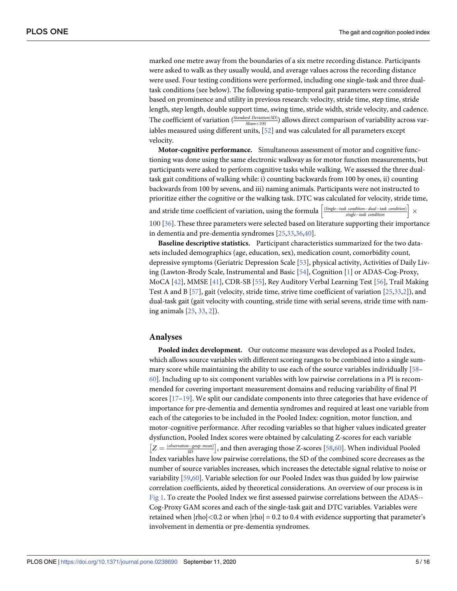<span id="page-4-0"></span>marked one metre away from the boundaries of a six metre recording distance. Participants were asked to walk as they usually would, and average values across the recording distance were used. Four testing conditions were performed, including one single-task and three dualtask conditions (see below). The following spatio-temporal gait parameters were considered based on prominence and utility in previous research: velocity, stride time, step time, stride length, step length, double support time, swing time, stride width, stride velocity, and cadence. The coefficient of variation ( $\frac{Standard\ Deviation(SD)}{Mean \times 100}$ ) allows direct comparison of variability across var-iables measured using different units, [\[52\]](#page-14-0) and was calculated for all parameters except velocity.

**Motor-cognitive performance.** Simultaneous assessment of motor and cognitive functioning was done using the same electronic walkway as for motor function measurements, but participants were asked to perform cognitive tasks while walking. We assessed the three dualtask gait conditions of walking while: i) counting backwards from 100 by ones, ii) counting backwards from 100 by sevens, and iii) naming animals. Participants were not instructed to prioritize either the cognitive or the walking task. DTC was calculated for velocity, stride time,

prioritize cities the coefficient of variation, using the formula  $\left[\frac{\text{(Single–task condition)}\atop \text{single–task condition}}\right]$ � 100 [\[36\]](#page-14-0). These three parameters were selected based on literature supporting their importance in dementia and pre-dementia syndromes [[25](#page-13-0),[33,36,40\]](#page-14-0).

**Baseline descriptive statistics.** Participant characteristics summarized for the two datasets included demographics (age, education, sex), medication count, comorbidity count, depressive symptoms (Geriatric Depression Scale [\[53\]](#page-14-0), physical activity, Activities of Daily Living (Lawton-Brody Scale, Instrumental and Basic [\[54\]](#page-15-0), Cognition [[1](#page-12-0)] or ADAS-Cog-Proxy, MoCA [\[42\]](#page-14-0), MMSE [\[41\]](#page-14-0), CDR-SB [[55](#page-15-0)], Rey Auditory Verbal Learning Test [\[56\]](#page-15-0), Trail Making Test A and B [[57](#page-15-0)], gait (velocity, stride time, strive time coefficient of variation [[25](#page-13-0)[,33,](#page-14-0)[2\]](#page-12-0)), and dual-task gait (gait velocity with counting, stride time with serial sevens, stride time with naming animals [[25](#page-13-0), [33](#page-14-0), [2](#page-12-0)]).

#### **Analyses**

**Pooled index development.** Our outcome measure was developed as a Pooled Index, which allows source variables with different scoring ranges to be combined into a single summary score while maintaining the ability to use each of the source variables individually [\[58–](#page-15-0) [60\]](#page-15-0). Including up to six component variables with low pairwise correlations in a PI is recommended for covering important measurement domains and reducing variability of final PI scores  $[17-19]$ . We split our candidate components into three categories that have evidence of importance for pre-dementia and dementia syndromes and required at least one variable from each of the categories to be included in the Pooled Index: cognition, motor function, and motor-cognitive performance. After recoding variables so that higher values indicated greater dysfunction, Pooled Index scores were obtained by calculating Z-scores for each variable  $Z = \frac{(observation, 1, 2, 3D)}{SD}$ , and then averaging those Z-scores [[58,60\]](#page-15-0). When individual Pooled Index variables have low pairwise correlations, the SD of the combined score decreases as the number of source variables increases, which increases the detectable signal relative to noise or variability [[59,60\]](#page-15-0). Variable selection for our Pooled Index was thus guided by low pairwise correlation coefficients, aided by theoretical considerations. An overview of our process is in [Fig](#page-5-0) 1. To create the Pooled Index we first assessed pairwise correlations between the ADAS-- Cog-Proxy GAM scores and each of the single-task gait and DTC variables. Variables were retained when  $|rho| < 0.2$  or when  $|rho| = 0.2$  to 0.4 with evidence supporting that parameter's involvement in dementia or pre-dementia syndromes.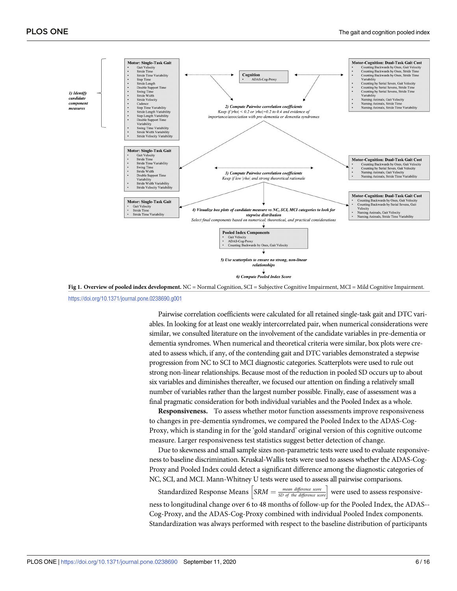<span id="page-5-0"></span>

**[Fig](#page-4-0) 1. Overview of pooled index development.** NC = Normal Cognition, SCI = Subjective Cognitive Impairment, MCI = Mild Cognitive Impairment. <https://doi.org/10.1371/journal.pone.0238690.g001>

Pairwise correlation coefficients were calculated for all retained single-task gait and DTC variables. In looking for at least one weakly intercorrelated pair, when numerical considerations were similar, we consulted literature on the involvement of the candidate variables in pre-dementia or dementia syndromes. When numerical and theoretical criteria were similar, box plots were created to assess which, if any, of the contending gait and DTC variables demonstrated a stepwise progression from NC to SCI to MCI diagnostic categories. Scatterplots were used to rule out strong non-linear relationships. Because most of the reduction in pooled SD occurs up to about six variables and diminishes thereafter, we focused our attention on finding a relatively small number of variables rather than the largest number possible. Finally, ease of assessment was a final pragmatic consideration for both individual variables and the Pooled Index as a whole.

**Responsiveness.** To assess whether motor function assessments improve responsiveness to changes in pre-dementia syndromes, we compared the Pooled Index to the ADAS-Cog-Proxy, which is standing in for the 'gold standard' original version of this cognitive outcome measure. Larger responsiveness test statistics suggest better detection of change.

Due to skewness and small sample sizes non-parametric tests were used to evaluate responsiveness to baseline discrimination. Kruskal-Wallis tests were used to assess whether the ADAS-Cog-Proxy and Pooled Index could detect a significant difference among the diagnostic categories of NC, SCI, and MCI. Mann-Whitney U tests were used to assess all pairwise comparisons.

 $S$ Standardized Response Means  $\int$ SRM  $=$   $\frac{mean \ difference \ score}{SD \ of \ the \ difference \ score}$ were used to assess responsiveness to longitudinal change over 6 to 48 months of follow-up for the Pooled Index, the ADAS-- Cog-Proxy, and the ADAS-Cog-Proxy combined with individual Pooled Index components. Standardization was always performed with respect to the baseline distribution of participants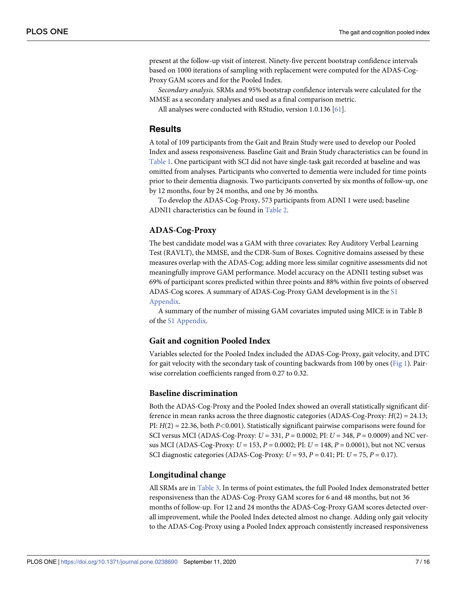<span id="page-6-0"></span>present at the follow-up visit of interest. Ninety-five percent bootstrap confidence intervals based on 1000 iterations of sampling with replacement were computed for the ADAS-Cog-Proxy GAM scores and for the Pooled Index.

*Secondary analysis*. SRMs and 95% bootstrap confidence intervals were calculated for the MMSE as a secondary analyses and used as a final comparison metric.

All analyses were conducted with RStudio, version 1.0.136 [\[61\]](#page-15-0).

#### **Results**

A total of 109 participants from the Gait and Brain Study were used to develop our Pooled Index and assess responsiveness. Baseline Gait and Brain Study characteristics can be found in [Table](#page-7-0) 1. One participant with SCI did not have single-task gait recorded at baseline and was omitted from analyses. Participants who converted to dementia were included for time points prior to their dementia diagnosis. Two participants converted by six months of follow-up, one by 12 months, four by 24 months, and one by 36 months.

To develop the ADAS-Cog-Proxy, 573 participants from ADNI 1 were used; baseline ADNI1 characteristics can be found in [Table](#page-9-0) 2.

#### **ADAS-Cog-Proxy**

The best candidate model was a GAM with three covariates: Rey Auditory Verbal Learning Test (RAVLT), the MMSE, and the CDR-Sum of Boxes. Cognitive domains assessed by these measures overlap with the ADAS-Cog; adding more less similar cognitive assessments did not meaningfully improve GAM performance. Model accuracy on the ADNI1 testing subset was 69% of participant scores predicted within three points and 88% within five points of observed ADAS-Cog scores. A summary of ADAS-Cog-Proxy GAM development is in the [S1](#page-11-0) [Appendix.](#page-11-0)

A summary of the number of missing GAM covariates imputed using MICE is in Table B of the S1 [Appendix](#page-11-0).

#### **Gait and cognition Pooled Index**

Variables selected for the Pooled Index included the ADAS-Cog-Proxy, gait velocity, and DTC for gait velocity with the secondary task of counting backwards from 100 by ones [\(Fig](#page-5-0) 1). Pairwise correlation coefficients ranged from 0.27 to 0.32.

#### **Baseline discrimination**

Both the ADAS-Cog-Proxy and the Pooled Index showed an overall statistically significant difference in mean ranks across the three diagnostic categories (ADAS-Cog-Proxy: *H*(2) = 24.13; PI: *H*(2) = 22.36, both *P<*0.001). Statistically significant pairwise comparisons were found for SCI versus MCI (ADAS-Cog-Proxy: *U* = 331, *P* = 0.0002; PI: *U* = 348, *P* = 0.0009) and NC versus MCI (ADAS-Cog-Proxy: *U* = 153, *P* = 0.0002; PI: *U* = 148, *P* = 0.0001), but not NC versus SCI diagnostic categories (ADAS-Cog-Proxy: *U* = 93, *P* = 0.41; PI: *U* = 75, *P* = 0.17).

#### **Longitudinal change**

All SRMs are in [Table](#page-10-0) 3. In terms of point estimates, the full Pooled Index demonstrated better responsiveness than the ADAS-Cog-Proxy GAM scores for 6 and 48 months, but not 36 months of follow-up. For 12 and 24 months the ADAS-Cog-Proxy GAM scores detected overall improvement, while the Pooled Index detected almost no change. Adding only gait velocity to the ADAS-Cog-Proxy using a Pooled Index approach consistently increased responsiveness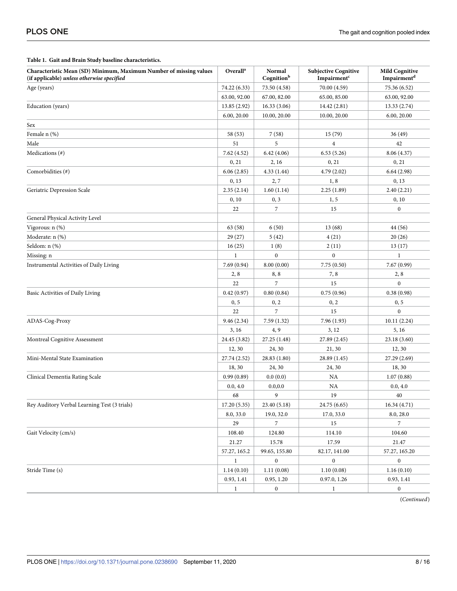| Characteristic Mean (SD) Minimum, Maximum Number of missing values<br>(if applicable) unless otherwise specified | Overall <sup>a</sup> | Normal<br>Cognitionb | <b>Subjective Cognitive</b><br>Impairment <sup>c</sup> | <b>Mild Cognitive</b><br>Impairment <sup>d</sup> |
|------------------------------------------------------------------------------------------------------------------|----------------------|----------------------|--------------------------------------------------------|--------------------------------------------------|
| Age (years)                                                                                                      | 74.22 (6.33)         | 73.50 (4.58)         | 70.00 (4.59)                                           | 75.36 (6.52)                                     |
|                                                                                                                  | 63.00, 92.00         | 67.00, 82.00         | 65.00, 85.00                                           | 63.00, 92.00                                     |
| Education (years)                                                                                                | 13.85(2.92)          | 16.33(3.06)          | 14.42 (2.81)                                           | 13.33 (2.74)                                     |
|                                                                                                                  | 6.00, 20.00          | 10.00, 20.00         | 10.00, 20.00                                           | 6.00, 20.00                                      |
| Sex                                                                                                              |                      |                      |                                                        |                                                  |
| Female n (%)                                                                                                     | 58 (53)              | 7(58)                | 15(79)                                                 | 36 (49)                                          |
| Male                                                                                                             | 51                   | 5                    | $\overline{4}$                                         | 42                                               |
| Medications (#)                                                                                                  | 7.62(4.52)           | 6.42(4.06)           | 6.53(5.26)                                             | 8.06 (4.37)                                      |
|                                                                                                                  | 0, 21                | 2, 16                | 0, 21                                                  | 0, 21                                            |
| Comorbidities (#)                                                                                                | 6.06(2.85)           | 4.33(1.44)           | 4.79 (2.02)                                            | 6.64(2.98)                                       |
|                                                                                                                  | 0,13                 | 2,7                  | 1, 8                                                   | 0, 13                                            |
| Geriatric Depression Scale                                                                                       | 2.35(2.14)           | 1.60(1.14)           | 2.25(1.89)                                             | 2.40(2.21)                                       |
|                                                                                                                  | 0, 10                | 0, 3                 | 1, 5                                                   | 0, 10                                            |
|                                                                                                                  | 22                   | 7                    | 15                                                     | $\boldsymbol{0}$                                 |
| General Physical Activity Level                                                                                  |                      |                      |                                                        |                                                  |
| Vigorous: n (%)                                                                                                  | 63 (58)              | 6(50)                | 13(68)                                                 | 44 (56)                                          |
| Moderate: n (%)                                                                                                  | 29(27)               | 5(42)                | 4(21)                                                  | 20(26)                                           |
| Seldom: n (%)                                                                                                    | 16(25)               | 1(8)                 | 2(11)                                                  | 13(17)                                           |
| Missing: n                                                                                                       | $\mathbf{1}$         | $\mathbf{0}$         | $\overline{0}$                                         | $\mathbf{1}$                                     |
| Instrumental Activities of Daily Living                                                                          | 7.69(0.94)           | 8.00(0.00)           | 7.75(0.50)                                             | 7.67(0.99)                                       |
|                                                                                                                  | 2, 8                 | 8,8                  | 7, 8                                                   | 2, 8                                             |
|                                                                                                                  | 22                   | $\overline{7}$       | 15                                                     | $\Omega$                                         |
| Basic Activities of Daily Living                                                                                 | 0.42(0.97)           | 0.80(0.84)           | 0.75(0.96)                                             | 0.38(0.98)                                       |
|                                                                                                                  | 0, 5                 | 0, 2                 | 0, 2                                                   | 0, 5                                             |
|                                                                                                                  | 22                   | 7                    | 15                                                     | $\mathbf{0}$                                     |
| ADAS-Cog-Proxy                                                                                                   | 9.46(2.34)           | 7.59(1.32)           | 7.96(1.93)                                             | 10.11(2.24)                                      |
|                                                                                                                  | 3, 16                | 4, 9                 | 3, 12                                                  | 5, 16                                            |
| Montreal Cognitive Assessment                                                                                    | 24.45 (3.82)         | 27.25 (1.48)         | 27.89 (2.45)                                           | 23.18 (3.60)                                     |
|                                                                                                                  | 12, 30               | 24, 30               | 21, 30                                                 | 12, 30                                           |
| Mini-Mental State Examination                                                                                    | 27.74 (2.52)         | 28.83 (1.80)         | 28.89 (1.45)                                           | 27.29 (2.69)                                     |
|                                                                                                                  | 18, 30               | 24, 30               | 24, 30                                                 | 18, 30                                           |
| Clinical Dementia Rating Scale                                                                                   | 0.99(0.89)           | 0.0(0.0)             | NA                                                     | 1.07(0.88)                                       |
|                                                                                                                  | 0.0, 4.0             | 0.0, 0.0             | NA                                                     | 0.0, 4.0                                         |
|                                                                                                                  | 68                   | 9                    | 19                                                     | 40                                               |
| Rey Auditory Verbal Learning Test (3 trials)                                                                     | 17.20(5.35)          | 23.40 (5.18)         | 24.75 (6.65)                                           | 16.34(4.71)                                      |
|                                                                                                                  | 8.0, 33.0            | 19.0, 32.0           | 17.0, 33.0                                             | 8.0, 28.0                                        |
|                                                                                                                  | 29                   | 7                    | 15                                                     | 7                                                |
| Gait Velocity (cm/s)                                                                                             | 108.40               | 124.80               | 114.10                                                 | 104.60                                           |
|                                                                                                                  | 21.27                | 15.78                | 17.59                                                  | 21.47                                            |
|                                                                                                                  | 57.27, 165.2         | 99.65, 155.80        | 82.17, 141.00                                          | 57.27, 165.20                                    |
|                                                                                                                  | 1                    | $\boldsymbol{0}$     | $\boldsymbol{0}$                                       | $\boldsymbol{0}$                                 |
| Stride Time (s)                                                                                                  | 1.14(0.10)           | 1.11(0.08)           | 1.10(0.08)                                             | 1.16(0.10)                                       |
|                                                                                                                  | 0.93, 1.41           | 0.95, 1.20           | 0.97.0, 1.26                                           | 0.93, 1.41                                       |
|                                                                                                                  | $\mathbf{1}$         | $\boldsymbol{0}$     | $\mathbf{1}$                                           | $\boldsymbol{0}$                                 |

#### <span id="page-7-0"></span>**[Table](#page-6-0) 1. Gait and Brain Study baseline characteristics.**

(*Continued*)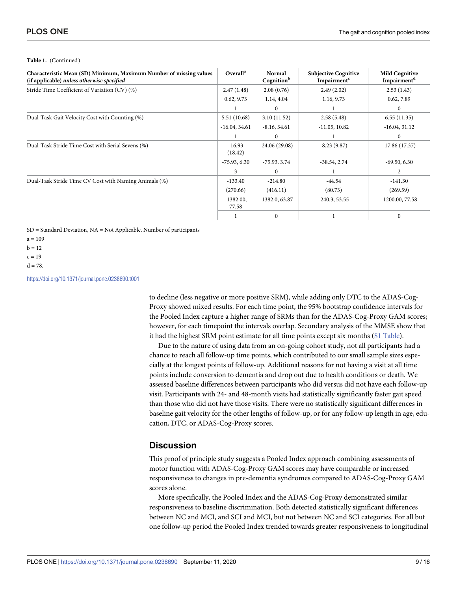#### **Table 1.** (Continued)

| Characteristic Mean (SD) Minimum, Maximum Number of missing values<br>(if applicable) unless otherwise specified | Overall <sup>a</sup>  | Normal<br>Cognition <sup>b</sup> | <b>Subjective Cognitive</b><br>Impairment <sup>c</sup> | <b>Mild Cognitive</b><br>Impairment <sup>d</sup> |
|------------------------------------------------------------------------------------------------------------------|-----------------------|----------------------------------|--------------------------------------------------------|--------------------------------------------------|
| Stride Time Coefficient of Variation (CV) (%)                                                                    | 2.47(1.48)            | 2.08(0.76)                       | 2.49(2.02)                                             | 2.53(1.43)                                       |
|                                                                                                                  | 0.62, 9.73            | 1.14, 4.04                       | 1.16, 9.73                                             | 0.62, 7.89                                       |
|                                                                                                                  |                       | $\Omega$                         |                                                        | $\Omega$                                         |
| Dual-Task Gait Velocity Cost with Counting (%)                                                                   | 5.51(10.68)           | 3.10(11.52)                      | 2.58(5.48)                                             | 6.55(11.35)                                      |
|                                                                                                                  | $-16.04, 34.61$       | $-8.16, 34.61$                   | $-11.05, 10.82$                                        | $-16.04, 31.12$                                  |
|                                                                                                                  |                       | $\Omega$                         |                                                        | $\Omega$                                         |
| Dual-Task Stride Time Cost with Serial Sevens (%)                                                                | $-16.93$<br>(18.42)   | $-24.06(29.08)$                  | $-8.23(9.87)$                                          | $-17.86(17.37)$                                  |
|                                                                                                                  | $-75.93, 6.30$        | $-75.93, 3.74$                   | $-38.54, 2.74$                                         | $-69.50, 6.30$                                   |
|                                                                                                                  | 3                     | $\Omega$                         |                                                        | 2                                                |
| Dual-Task Stride Time CV Cost with Naming Animals (%)                                                            | $-133.40$             | $-214.80$                        | $-44.54$                                               | $-141.30$                                        |
|                                                                                                                  | (270.66)              | (416.11)                         | (80.73)                                                | (269.59)                                         |
|                                                                                                                  | $-1382.00$ ,<br>77.58 | $-1382.0, 63.87$                 | $-240.3, 53.55$                                        | $-1200.00, 77.58$                                |
|                                                                                                                  |                       | $\mathbf{0}$                     |                                                        | $\Omega$                                         |

SD = Standard Deviation, NA = Not Applicable. Number of participants

 $a = 109$ 

 $h = 12$ 

 $c = 19$ 

 $d = 78$ 

<https://doi.org/10.1371/journal.pone.0238690.t001>

to decline (less negative or more positive SRM), while adding only DTC to the ADAS-Cog-Proxy showed mixed results. For each time point, the 95% bootstrap confidence intervals for the Pooled Index capture a higher range of SRMs than for the ADAS-Cog-Proxy GAM scores; however, for each timepoint the intervals overlap. Secondary analysis of the MMSE show that it had the highest SRM point estimate for all time points except six months (S1 [Table](#page-11-0)).

Due to the nature of using data from an on-going cohort study, not all participants had a chance to reach all follow-up time points, which contributed to our small sample sizes especially at the longest points of follow-up. Additional reasons for not having a visit at all time points include conversion to dementia and drop out due to health conditions or death. We assessed baseline differences between participants who did versus did not have each follow-up visit. Participants with 24- and 48-month visits had statistically significantly faster gait speed than those who did not have those visits. There were no statistically significant differences in baseline gait velocity for the other lengths of follow-up, or for any follow-up length in age, education, DTC, or ADAS-Cog-Proxy scores.

#### **Discussion**

This proof of principle study suggests a Pooled Index approach combining assessments of motor function with ADAS-Cog-Proxy GAM scores may have comparable or increased responsiveness to changes in pre-dementia syndromes compared to ADAS-Cog-Proxy GAM scores alone.

More specifically, the Pooled Index and the ADAS-Cog-Proxy demonstrated similar responsiveness to baseline discrimination. Both detected statistically significant differences between NC and MCI, and SCI and MCI, but not between NC and SCI categories. For all but one follow-up period the Pooled Index trended towards greater responsiveness to longitudinal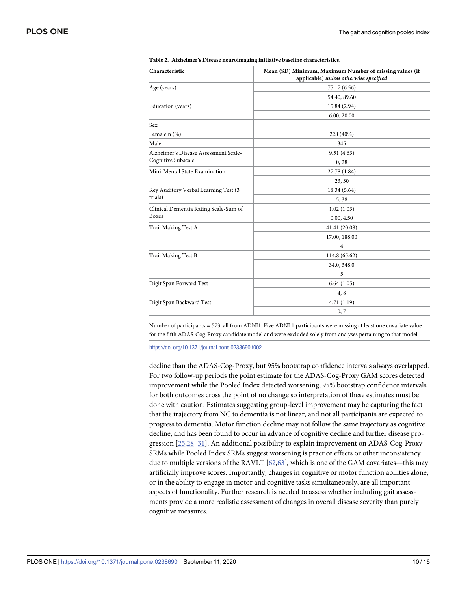<span id="page-9-0"></span>

| Characteristic                        | Mean (SD) Minimum, Maximum Number of missing values (if<br>applicable) unless otherwise specified |  |  |  |  |
|---------------------------------------|---------------------------------------------------------------------------------------------------|--|--|--|--|
| Age (years)                           | 75.17 (6.56)                                                                                      |  |  |  |  |
|                                       | 54.40, 89.60                                                                                      |  |  |  |  |
| Education (years)                     | 15.84 (2.94)                                                                                      |  |  |  |  |
|                                       | 6.00, 20.00                                                                                       |  |  |  |  |
| Sex                                   |                                                                                                   |  |  |  |  |
| Female n (%)                          | 228 (40%)                                                                                         |  |  |  |  |
| Male                                  | 345                                                                                               |  |  |  |  |
| Alzheimer's Disease Assessment Scale- | 9.51(4.63)                                                                                        |  |  |  |  |
| Cognitive Subscale                    | 0, 28                                                                                             |  |  |  |  |
| Mini-Mental State Examination         | 27.78 (1.84)                                                                                      |  |  |  |  |
|                                       | 23, 30                                                                                            |  |  |  |  |
| Rey Auditory Verbal Learning Test (3  | 18.34 (5.64)                                                                                      |  |  |  |  |
| trials)                               | 5,38                                                                                              |  |  |  |  |
| Clinical Dementia Rating Scale-Sum of | 1.02(1.03)                                                                                        |  |  |  |  |
| <b>Boxes</b>                          | 0.00, 4.50                                                                                        |  |  |  |  |
| Trail Making Test A                   | 41.41 (20.08)                                                                                     |  |  |  |  |
|                                       | 17.00, 188.00                                                                                     |  |  |  |  |
|                                       | 4                                                                                                 |  |  |  |  |
| Trail Making Test B                   | 114.8 (65.62)                                                                                     |  |  |  |  |
|                                       | 34.0, 348.0                                                                                       |  |  |  |  |
|                                       | 5                                                                                                 |  |  |  |  |
| Digit Span Forward Test               | 6.64(1.05)                                                                                        |  |  |  |  |
|                                       | 4,8                                                                                               |  |  |  |  |
| Digit Span Backward Test              | 4.71(1.19)                                                                                        |  |  |  |  |
|                                       | 0, 7                                                                                              |  |  |  |  |
|                                       |                                                                                                   |  |  |  |  |

|  |  |  |  |  |  | Table 2. Alzheimer's Disease neuroimaging initiative baseline characteristics. |
|--|--|--|--|--|--|--------------------------------------------------------------------------------|
|--|--|--|--|--|--|--------------------------------------------------------------------------------|

Number of participants = 573, all from ADNI1. Five ADNI 1 participants were missing at least one covariate value for the fifth ADAS-Cog-Proxy candidate model and were excluded solely from analyses pertaining to that model.

<https://doi.org/10.1371/journal.pone.0238690.t002>

decline than the ADAS-Cog-Proxy, but 95% bootstrap confidence intervals always overlapped. For two follow-up periods the point estimate for the ADAS-Cog-Proxy GAM scores detected improvement while the Pooled Index detected worsening; 95% bootstrap confidence intervals for both outcomes cross the point of no change so interpretation of these estimates must be done with caution. Estimates suggesting group-level improvement may be capturing the fact that the trajectory from NC to dementia is not linear, and not all participants are expected to progress to dementia. Motor function decline may not follow the same trajectory as cognitive decline, and has been found to occur in advance of cognitive decline and further disease progression [[25,28–](#page-13-0)[31\]](#page-14-0). An additional possibility to explain improvement on ADAS-Cog-Proxy SRMs while Pooled Index SRMs suggest worsening is practice effects or other inconsistency due to multiple versions of the RAVLT  $[62,63]$  $[62,63]$ , which is one of the GAM covariates—this may artificially improve scores. Importantly, changes in cognitive or motor function abilities alone, or in the ability to engage in motor and cognitive tasks simultaneously, are all important aspects of functionality. Further research is needed to assess whether including gait assessments provide a more realistic assessment of changes in overall disease severity than purely cognitive measures.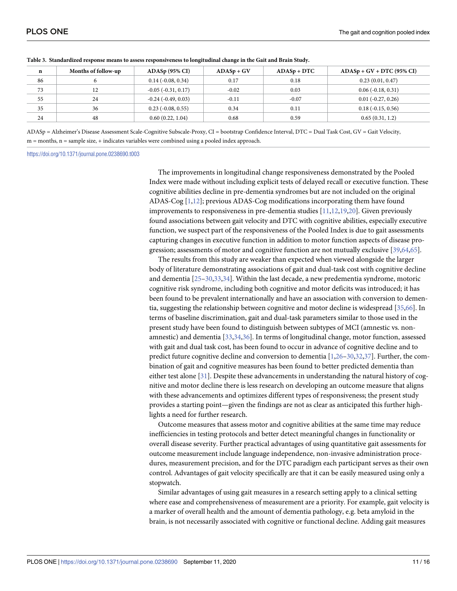| n  | Months of follow-up | $ADASp$ (95% CI)             | $ADASp + GV$ | $ADASp + DTC$ | $ADASp + GV + DTC (95\% CI)$ |
|----|---------------------|------------------------------|--------------|---------------|------------------------------|
| 86 | n                   | $0.14(-0.08, 0.34)$          | 0.17         | 0.18          | 0.23(0.01, 0.47)             |
| 73 | 12<br>$\sqrt{2}$    | $-0.05$ ( $-0.31, 0.17$ )    | $-0.02$      | 0.03          | $0.06$ ( $-0.18$ , $0.31$ )  |
| 55 | 24                  | $-0.24$ ( $-0.49$ , $0.03$ ) | $-0.11$      | $-0.07$       | $0.01$ ( $-0.27, 0.26$ )     |
| 35 | 36                  | $0.23$ ( $-0.08, 0.55$ )     | 0.34         | 0.11          | $0.18(-0.15, 0.56)$          |
| 24 | 48                  | 0.60(0.22, 1.04)             | 0.68         | 0.59          | 0.65(0.31, 1.2)              |

<span id="page-10-0"></span>[Table](#page-6-0) 3. Standardized response means to assess responsiveness to longitudinal change in the Gait and Brain Study.

ADASp = Alzheimer's Disease Assessment Scale-Cognitive Subscale-Proxy, CI = bootstrap Confidence Interval, DTC = Dual Task Cost, GV = Gait Velocity, m = months, n = sample size, + indicates variables were combined using a pooled index approach.

<https://doi.org/10.1371/journal.pone.0238690.t003>

The improvements in longitudinal change responsiveness demonstrated by the Pooled Index were made without including explicit tests of delayed recall or executive function. These cognitive abilities decline in pre-dementia syndromes but are not included on the original ADAS-Cog [\[1](#page-12-0)[,12\]](#page-13-0); previous ADAS-Cog modifications incorporating them have found improvements to responsiveness in pre-dementia studies [[11](#page-13-0),[12,19,20\]](#page-13-0). Given previously found associations between gait velocity and DTC with cognitive abilities, especially executive function, we suspect part of the responsiveness of the Pooled Index is due to gait assessments capturing changes in executive function in addition to motor function aspects of disease progression; assessments of motor and cognitive function are not mutually exclusive [\[39](#page-14-0)[,64,65\]](#page-15-0).

The results from this study are weaker than expected when viewed alongside the larger body of literature demonstrating associations of gait and dual-task cost with cognitive decline and dementia [\[25–](#page-13-0)[30,33](#page-14-0),[34\]](#page-14-0). Within the last decade, a new predementia syndrome, motoric cognitive risk syndrome, including both cognitive and motor deficits was introduced; it has been found to be prevalent internationally and have an association with conversion to dementia, suggesting the relationship between cognitive and motor decline is widespread [[35](#page-14-0),[66](#page-15-0)]. In terms of baseline discrimination, gait and dual-task parameters similar to those used in the present study have been found to distinguish between subtypes of MCI (amnestic vs. nonamnestic) and dementia [[33,34,36\]](#page-14-0). In terms of longitudinal change, motor function, assessed with gait and dual task cost, has been found to occur in advance of cognitive decline and to predict future cognitive decline and conversion to dementia [[1,](#page-12-0)[26](#page-13-0)–[30,32,37\]](#page-14-0). Further, the combination of gait and cognitive measures has been found to better predicted dementia than either test alone [\[31\]](#page-14-0). Despite these advancements in understanding the natural history of cognitive and motor decline there is less research on developing an outcome measure that aligns with these advancements and optimizes different types of responsiveness; the present study provides a starting point—given the findings are not as clear as anticipated this further highlights a need for further research.

Outcome measures that assess motor and cognitive abilities at the same time may reduce inefficiencies in testing protocols and better detect meaningful changes in functionality or overall disease severity. Further practical advantages of using quantitative gait assessments for outcome measurement include language independence, non-invasive administration procedures, measurement precision, and for the DTC paradigm each participant serves as their own control. Advantages of gait velocity specifically are that it can be easily measured using only a stopwatch.

Similar advantages of using gait measures in a research setting apply to a clinical setting where ease and comprehensiveness of measurement are a priority. For example, gait velocity is a marker of overall health and the amount of dementia pathology, e.g. beta amyloid in the brain, is not necessarily associated with cognitive or functional decline. Adding gait measures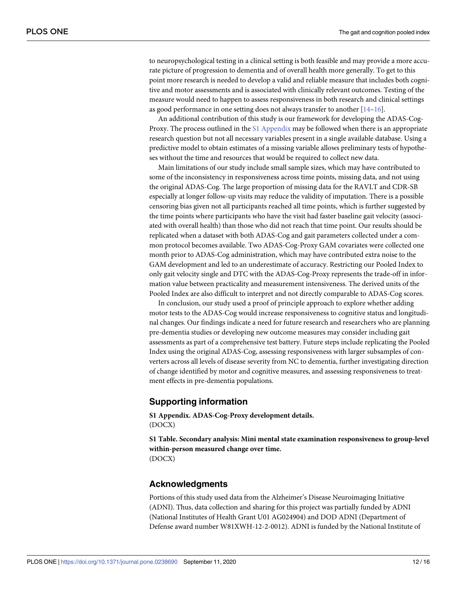<span id="page-11-0"></span>to neuropsychological testing in a clinical setting is both feasible and may provide a more accurate picture of progression to dementia and of overall health more generally. To get to this point more research is needed to develop a valid and reliable measure that includes both cognitive and motor assessments and is associated with clinically relevant outcomes. Testing of the measure would need to happen to assess responsiveness in both research and clinical settings as good performance in one setting does not always transfer to another [[14–16\]](#page-13-0).

An additional contribution of this study is our framework for developing the ADAS-Cog-Proxy. The process outlined in the S1 Appendix may be followed when there is an appropriate research question but not all necessary variables present in a single available database. Using a predictive model to obtain estimates of a missing variable allows preliminary tests of hypotheses without the time and resources that would be required to collect new data.

Main limitations of our study include small sample sizes, which may have contributed to some of the inconsistency in responsiveness across time points, missing data, and not using the original ADAS-Cog. The large proportion of missing data for the RAVLT and CDR-SB especially at longer follow-up visits may reduce the validity of imputation. There is a possible censoring bias given not all participants reached all time points, which is further suggested by the time points where participants who have the visit had faster baseline gait velocity (associated with overall health) than those who did not reach that time point. Our results should be replicated when a dataset with both ADAS-Cog and gait parameters collected under a common protocol becomes available. Two ADAS-Cog-Proxy GAM covariates were collected one month prior to ADAS-Cog administration, which may have contributed extra noise to the GAM development and led to an underestimate of accuracy. Restricting our Pooled Index to only gait velocity single and DTC with the ADAS-Cog-Proxy represents the trade-off in information value between practicality and measurement intensiveness. The derived units of the Pooled Index are also difficult to interpret and not directly comparable to ADAS-Cog scores.

In conclusion, our study used a proof of principle approach to explore whether adding motor tests to the ADAS-Cog would increase responsiveness to cognitive status and longitudinal changes. Our findings indicate a need for future research and researchers who are planning pre-dementia studies or developing new outcome measures may consider including gait assessments as part of a comprehensive test battery. Future steps include replicating the Pooled Index using the original ADAS-Cog, assessing responsiveness with larger subsamples of converters across all levels of disease severity from NC to dementia, further investigating direction of change identified by motor and cognitive measures, and assessing responsiveness to treatment effects in pre-dementia populations.

#### **Supporting information**

**S1 [Appendix](http://www.plosone.org/article/fetchSingleRepresentation.action?uri=info:doi/10.1371/journal.pone.0238690.s001). ADAS-Cog-Proxy development details.** (DOCX)

**S1 [Table.](http://www.plosone.org/article/fetchSingleRepresentation.action?uri=info:doi/10.1371/journal.pone.0238690.s002) Secondary analysis: Mini mental state examination responsiveness to group-level within-person measured change over time.** (DOCX)

#### **Acknowledgments**

Portions of this study used data from the Alzheimer's Disease Neuroimaging Initiative (ADNI). Thus, data collection and sharing for this project was partially funded by ADNI (National Institutes of Health Grant U01 AG024904) and DOD ADNI (Department of Defense award number W81XWH-12-2-0012). ADNI is funded by the National Institute of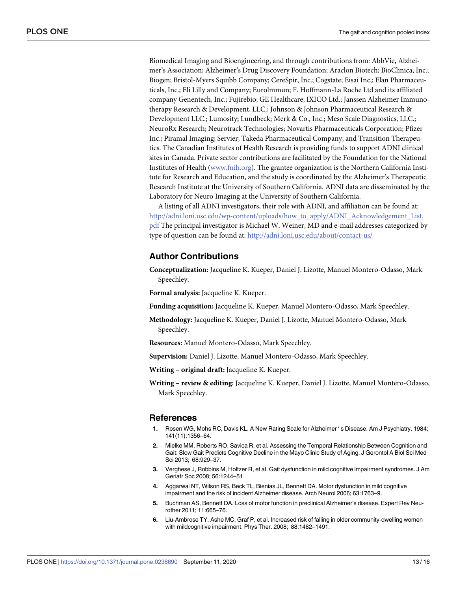<span id="page-12-0"></span>Biomedical Imaging and Bioengineering, and through contributions from: AbbVie, Alzheimer's Association; Alzheimer's Drug Discovery Foundation; Araclon Biotech; BioClinica, Inc.; Biogen; Bristol-Myers Squibb Company; CereSpir, Inc.; Cogstate; Eisai Inc,; Elan Pharmaceuticals, Inc.; Eli Lilly and Company; Eurolmmun; F. Hoffmann-La Roche Ltd and its affiliated company Genentech, Inc.; Fujirebio; GE Healthcare; IXICO Ltd.; Janssen Alzheimer Immunotherapy Research & Development, LLC.; Johnson & Johnson Pharmaceutical Research & Development LLC.; Lumosity; Lundbeck; Merk & Co., Inc.; Meso Scale Diagnostics, LLC.; NeuroRx Research; Neurotrack Technologies; Novartis Pharmaceuticals Corporation; Pfizer Inc.; Piramal Imaging; Servier; Takeda Pharmaceutical Company; and Transition Therapeutics. The Canadian Institutes of Health Research is providing funds to support ADNI clinical sites in Canada. Private sector contributions are facilitated by the Foundation for the National Institutes of Health [\(www.fnih.org\)](http://www.fnih.org/). The grantee organization is the Northern California Institute for Research and Education, and the study is coordinated by the Alzheimer's Therapeutic Research Institute at the University of Southern California. ADNI data are disseminated by the Laboratory for Neuro Imaging at the University of Southern California.

A listing of all ADNI investigators, their role with ADNI, and affiliation can be found at: [http://adni.loni.usc.edu/wp-content/uploads/how\\_to\\_apply/ADNI\\_Acknowledgement\\_List.](http://adni.loni.usc.edu/wp-content/uploads/how_to_apply/ADNI_Acknowledgement_List.pdf) [pdf](http://adni.loni.usc.edu/wp-content/uploads/how_to_apply/ADNI_Acknowledgement_List.pdf) The principal investigator is Michael W. Weiner, MD and e-mail addresses categorized by type of question can be found at: <http://adni.loni.usc.edu/about/contact-us/>

#### **Author Contributions**

**Conceptualization:** Jacqueline K. Kueper, Daniel J. Lizotte, Manuel Montero-Odasso, Mark Speechley.

**Formal analysis:** Jacqueline K. Kueper.

**Funding acquisition:** Jacqueline K. Kueper, Manuel Montero-Odasso, Mark Speechley.

**Methodology:** Jacqueline K. Kueper, Daniel J. Lizotte, Manuel Montero-Odasso, Mark Speechley.

**Resources:** Manuel Montero-Odasso, Mark Speechley.

**Supervision:** Daniel J. Lizotte, Manuel Montero-Odasso, Mark Speechley.

**Writing – original draft:** Jacqueline K. Kueper.

**Writing – review & editing:** Jacqueline K. Kueper, Daniel J. Lizotte, Manuel Montero-Odasso, Mark Speechley.

#### **References**

- **[1](#page-1-0).** Rosen WG, Mohs RC, Davis KL. A New Rating Scale for Alzheimer ' s Disease. Am J Psychiatry. 1984; 141(11):1356–64.
- **[2](#page-1-0).** Mielke MM, Roberts RO, Savica R, et al. Assessing the Temporal Relationship Between Cognition and Gait: Slow Gait Predicts Cognitive Decline in the Mayo Clinic Study of Aging. J Gerontol A Biol Sci Med Sci 2013; 68:929–37.
- **3.** Verghese J, Robbins M, Holtzer R, et al. Gait dysfunction in mild cognitive impairment syndromes. J Am Geriatr Soc 2008; 56:1244–51
- **4.** Aggarwal NT, Wilson RS, Beck TL, Bienias JL, Bennett DA. Motor dysfunction in mild cognitive impairment and the risk of incident Alzheimer disease. Arch Neurol 2006; 63:1763–9.
- **5.** Buchman AS, Bennett DA. Loss of motor function in preclinical Alzheimer's disease. Expert Rev Neurother 2011; 11:665–76.
- **6.** Liu-Ambrose TY, Ashe MC, Graf P, et al. Increased risk of falling in older community-dwelling women with mildcognitive impairment. Phys Ther. 2008; 88:1482–1491.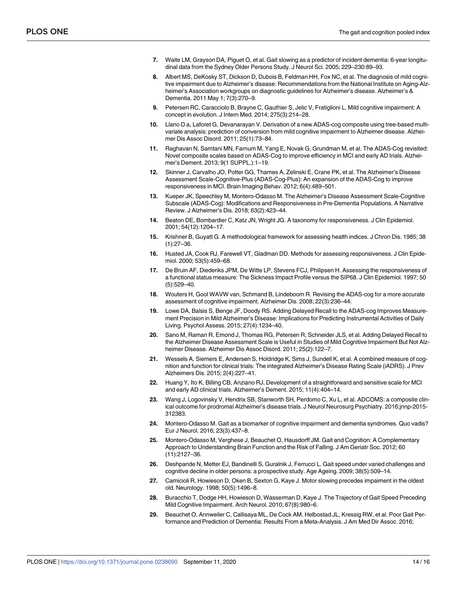- <span id="page-13-0"></span>**[7](#page-1-0).** Waite LM, Grayson DA, Piguet O, et al. Gait slowing as a predictor of incident dementia: 6-year longitudinal data from the Sydney Older Persons Study. J Neurol Sci. 2005; 229–230:89–93.
- **[8](#page-1-0).** Albert MS, DeKosky ST, Dickson D, Dubois B, Feldman HH, Fox NC, et al. The diagnosis of mild cognitive impairment due to Alzheimer's disease: Recommendations from the National Institute on Aging-Alzheimer's Association workgroups on diagnostic guidelines for Alzheimer's disease. Alzheimer's & Dementia. 2011 May 1; 7(3):270–9.
- **[9](#page-1-0).** Petersen RC, Caracciolo B, Brayne C, Gauthier S, Jelic V, Fratiglioni L. Mild cognitive impairment: A concept in evolution. J Intern Med. 2014; 275(3):214–28.
- **[10](#page-1-0).** Llano D a, Laforet G, Devanarayan V. Derivation of a new ADAS-cog composite using tree-based multivariate analysis: prediction of conversion from mild cognitive impairment to Alzheimer disease. Alzheimer Dis Assoc Disord. 2011; 25(1):73–84.
- **[11](#page-10-0).** Raghavan N, Samtani MN, Farnum M, Yang E, Novak G, Grundman M, et al. The ADAS-Cog revisited: Novel composite scales based on ADAS-Cog to improve efficiency in MCI and early AD trials. Alzheimer's Dement. 2013; 9(1 SUPPL.):1–19.
- **[12](#page-1-0).** Skinner J, Carvalho JO, Potter GG, Thames A, Zelinski E, Crane PK, et al. The Alzheimer's Disease Assessment Scale-Cognitive-Plus (ADAS-Cog-Plus): An expansion of the ADAS-Cog to improve responsiveness in MCI. Brain Imaging Behav. 2012; 6(4):489–501.
- **[13](#page-1-0).** Kueper JK, Speechley M, Montero-Odasso M. The Alzheimer's Disease Assessment Scale-Cognitive Subscale (ADAS-Cog): Modifications and Responsiveness in Pre-Dementia Populations. A Narrative Review. J Alzheimer's Dis. 2018; 63(2):423–44.
- **[14](#page-1-0).** Beaton DE, Bombardier C, Katz JN, Wright JG. A taxonomy for responsiveness. J Clin Epidemiol. 2001; 54(12):1204–17.
- **15.** Krishner B, Guyatt G. A methodological framework for assessing health indices. J Chron Dis. 1985; 38 (1):27–36.
- **[16](#page-1-0).** Husted JA, Cook RJ, Farewell VT, Gladman DD. Methods for assessing responsiveness. J Clin Epidemiol. 2000; 53(5):459–68.
- **[17](#page-1-0).** De Bruin AF, Diederiks JPM, De Witte LP, Stevens FCJ, Philipsen H. Assessing the responsiveness of a functional status measure: The Sickness Impact Profile versus the SIP68. J Clin Epidemiol. 1997; 50 (5):529–40.
- **[18](#page-1-0).** Wouters H, Gool WAVW van, Schmand B, Lindeboom R. Revising the ADAS-cog for a more accurate assessment of cognitive impairment. Alzheimer Dis. 2008; 22(3):236–44.
- **[19](#page-4-0).** Lowe DA, Balsis S, Benge JF, Doody RS. Adding Delayed Recall to the ADAS-cog Improves Measurement Precision in Mild Alzheimer's Disease: Implications for Predicting Instrumental Activities of Daily Living. Psychol Assess. 2015; 27(4):1234–40.
- **[20](#page-10-0).** Sano M, Raman R, Emond J, Thomas RG, Petersen R, Schneider JLS, et al. Adding Delayed Recall to the Alzheimer Disease Assessment Scale is Useful in Studies of Mild Cognitive Impairment But Not Alzheimer Disease. Alzheimer Dis Assoc Disord. 2011; 25(2):122–7.
- **21.** Wessels A, Siemers E, Andersen S, Holdridge K, Sims J, Sundell K, et al. A combined measure of cognition and function for clinical trials: The integrated Alzheimer's Disease Rating Scale (iADRS). J Prev Alzheimers Dis. 2015; 2(4):227–41.
- **22.** Huang Y, Ito K, Billing CB, Anziano RJ. Development of a straightforward and sensitive scale for MCI and early AD clinical trials. Alzheimer's Dement. 2015; 11(4):404–14.
- **[23](#page-1-0).** Wang J, Logovinsky V, Hendrix SB, Stanworth SH, Perdomo C, Xu L, et al. ADCOMS: a composite clinical outcome for prodromal Alzheimer's disease trials. J Neurol Neurosurg Psychiatry. 2016;jnnp-2015- 312383.
- **[24](#page-1-0).** Montero-Odasso M. Gait as a biomarker of cognitive impairment and dementia syndromes. Quo vadis? Eur J Neurol. 2016; 23(3):437–8.
- **[25](#page-1-0).** Montero-Odasso M, Verghese J, Beauchet O, Hausdorff JM. Gait and Cognition: A Complementary Approach to Understanding Brain Function and the Risk of Falling. J Am Geriatr Soc. 2012; 60 (11):2127–36.
- **[26](#page-1-0).** Deshpande N, Metter EJ, Bandinelli S, Guralnik J, Ferrucci L. Gait speed under varied challenges and cognitive decline in older persons: a prospective study. Age Ageing. 2009; 38(5):509–14.
- **27.** Camicioli R, Howieson D, Oken B, Sexton G, Kaye J. Motor slowing precedes impaiment in the oldest old. Neurology. 1998; 50(5):1496–8.
- **[28](#page-9-0).** Buracchio T, Dodge HH, Howieson D, Wasserman D, Kaye J. The Trajectory of Gait Speed Preceding Mild Cognitive Impairment. Arch Neurol. 2010; 67(8):980–6.
- **29.** Beauchet O, Annweiler C, Callisaya ML, De Cock AM, Helbostad JL, Kressig RW, et al. Poor Gait Performance and Prediction of Dementia: Results From a Meta-Analysis. J Am Med Dir Assoc. 2016;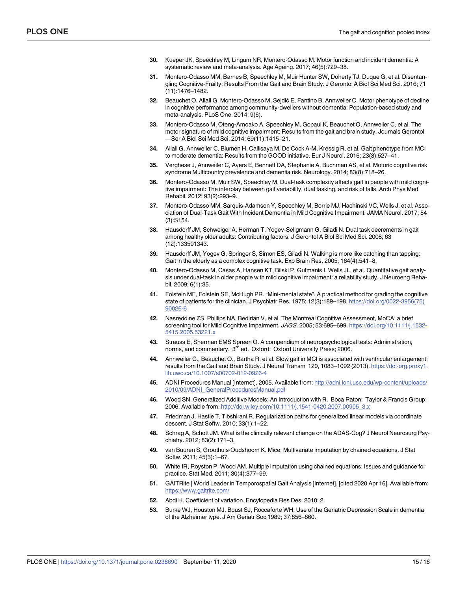- <span id="page-14-0"></span>**[30](#page-10-0).** Kueper JK, Speechley M, Lingum NR, Montero-Odasso M. Motor function and incident dementia: A systematic review and meta-analysis. Age Ageing. 2017; 46(5):729–38.
- **[31](#page-1-0).** Montero-Odasso MM, Barnes B, Speechley M, Muir Hunter SW, Doherty TJ, Duque G, et al. Disentangling Cognitive-Frailty: Results From the Gait and Brain Study. J Gerontol A Biol Sci Med Sci. 2016; 71 (11):1476–1482.
- **[32](#page-10-0).** Beauchet O, Allali G, Montero-Odasso M, Sejdić E, Fantino B, Annweiler C. Motor phenotype of decline in cognitive performance among community-dwellers without dementia: Population-based study and meta-analysis. PLoS One. 2014; 9(6).
- **[33](#page-1-0).** Montero-Odasso M, Oteng-Amoako A, Speechley M, Gopaul K, Beauchet O, Annweiler C, et al. The motor signature of mild cognitive impairment: Results from the gait and brain study. Journals Gerontol —Ser A Biol Sci Med Sci. 2014; 69(11):1415–21.
- **[34](#page-1-0).** Allali G, Annweiler C, Blumen H, Callisaya M, De Cock A-M, Kressig R, et al. Gait phenotype from MCI to moderate dementia: Results from the GOOD initiative. Eur J Neurol. 2016; 23(3):527–41.
- **[35](#page-1-0).** Verghese J, Annweiler C, Ayers E, Bennett DA, Stephanie A, Buchman AS, et al. Motoric cognitive risk syndrome Multicountry prevalence and dementia risk. Neurology. 2014; 83(8):718–26.
- **[36](#page-1-0).** Montero-Odasso M, Muir SW, Speechley M. Dual-task complexity affects gait in people with mild cognitive impairment: The interplay between gait variability, dual tasking, and risk of falls. Arch Phys Med Rehabil. 2012; 93(2):293–9.
- **[37](#page-1-0).** Montero-Odasso MM, Sarquis-Adamson Y, Speechley M, Borrie MJ, Hachinski VC, Wells J, et al. Association of Dual-Task Gait With Incident Dementia in Mild Cognitive Impairment. JAMA Neurol. 2017; 54 (3):S154.
- **[38](#page-1-0).** Hausdorff JM, Schweiger A, Herman T, Yogev-Seligmann G, Giladi N. Dual task decrements in gait among healthy older adults: Contributing factors. J Gerontol A Biol Sci Med Sci. 2008; 63 (12):133501343.
- **[39](#page-1-0).** Hausdorff JM, Yogev G, Springer S, Simon ES, Giladi N. Walking is more like catching than tapping: Gait in the elderly as a complex cognitive task. Exp Brain Res. 2005; 164(4):541–8.
- **[40](#page-2-0).** Montero-Odasso M, Casas A, Hansen KT, Bilski P, Gutmanis I, Wells JL, et al. Quantitative gait analysis under dual-task in older people with mild cognitive impairment: a reliability study. J Neuroeng Rehabil. 2009; 6(1):35.
- **[41](#page-2-0).** Folstein MF, Folstein SE, McHugh PR. "Mini-mental state". A practical method for grading the cognitive state of patients for the clinician. J Psychiatr Res. 1975; 12(3):189–198. [https://doi.org/0022-3956\(75\)](https://doi.org/0022-3956%2875%2990026-6) [90026-6](https://doi.org/0022-3956%2875%2990026-6)
- **[42](#page-2-0).** Nasreddine ZS, Phillips NA, Bedirian V, et al. The Montreal Cognitive Assessment, MoCA: a brief screening tool for Mild Cognitive Impairment. JAGS. 2005; 53:695–699. [https://doi.org/10.1111/j.1532-](https://doi.org/10.1111/j.1532-5415.2005.53221.x) [5415.2005.53221.x](https://doi.org/10.1111/j.1532-5415.2005.53221.x)
- **[43](#page-2-0).** Strauss E, Sherman EMS Spreen O. A compendium of neuropsychological tests: Administration, norms, and commentary. 3<sup>rd</sup> ed. Oxford: Oxford University Press; 2006.
- **[44](#page-2-0).** Annweiler C., Beauchet O., Bartha R. et al. Slow gait in MCI is associated with ventricular enlargement: results from the Gait and Brain Study. J Neural Transm 120, 1083–1092 (2013). [https://doi-org.proxy1.](https://doi-org.proxy1.lib.uwo.ca/10.1007/s00702-012-0926-4) [lib.uwo.ca/10.1007/s00702-012-0926-4](https://doi-org.proxy1.lib.uwo.ca/10.1007/s00702-012-0926-4)
- **[45](#page-3-0).** ADNI Procedures Manual [Internet]. 2005. Available from: [http://adni.loni.usc.edu/wp-content/uploads/](http://adni.loni.usc.edu/wp-content/uploads/2010/09/ADNI_GeneralProceduresManual.pdf) [2010/09/ADNI\\_GeneralProceduresManual.pdf](http://adni.loni.usc.edu/wp-content/uploads/2010/09/ADNI_GeneralProceduresManual.pdf)
- **[46](#page-3-0).** Wood SN. Generalized Additive Models: An Introduction with R. Boca Raton: Taylor & Francis Group; 2006. Available from: [http://doi.wiley.com/10.1111/j.1541-0420.2007.00905\\_3.x](http://doi.wiley.com/10.1111/j.1541-0420.2007.00905_3.x)
- **[47](#page-3-0).** Friedman J, Hastie T, Tibshirani R. Regularization paths for generalized linear models via coordinate descent. J Stat Softw. 2010; 33(1):1–22.
- **[48](#page-3-0).** Schrag A, Schott JM. What is the clinically relevant change on the ADAS-Cog? J Neurol Neurosurg Psychiatry. 2012; 83(2):171–3.
- **[49](#page-3-0).** van Buuren S, Groothuis-Oudshoorn K. Mice: Multivariate imputation by chained equations. J Stat Softw. 2011; 45(3):1–67.
- **[50](#page-3-0).** White IR, Royston P, Wood AM. Multiple imputation using chained equations: Issues and guidance for practice. Stat Med. 2011; 30(4):377–99.
- **[51](#page-3-0).** GAITRite | World Leader in Temporospatial Gait Analysis [Internet]. [cited 2020 Apr 16]. Available from: <https://www.gaitrite.com/>
- **[52](#page-4-0).** Abdi H. Coefficient of variation. Encylopedia Res Des. 2010; 2.
- **[53](#page-4-0).** Burke WJ, Houston MJ, Boust SJ, Roccaforte WH: Use of the Geriatric Depression Scale in dementia of the Alzheimer type. J Am Geriatr Soc 1989; 37:856–860.